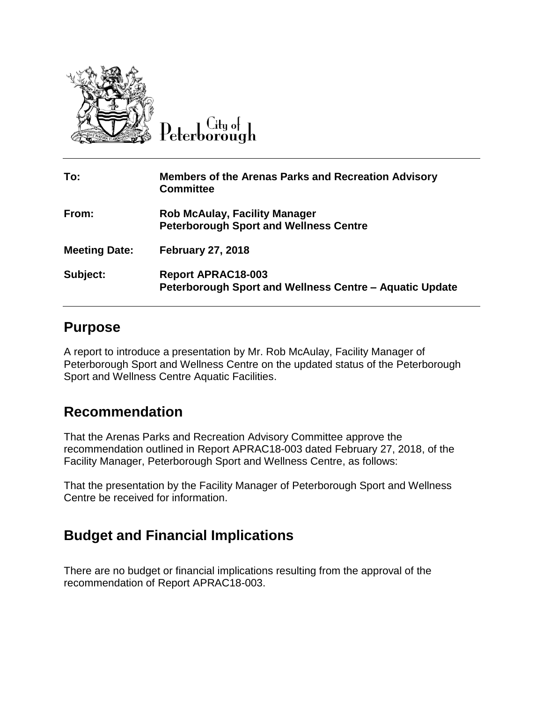

 $C$ ity ot

| To:                  | <b>Members of the Arenas Parks and Recreation Advisory</b><br><b>Committee</b>        |
|----------------------|---------------------------------------------------------------------------------------|
| From:                | <b>Rob McAulay, Facility Manager</b><br><b>Peterborough Sport and Wellness Centre</b> |
| <b>Meeting Date:</b> | <b>February 27, 2018</b>                                                              |
| Subject:             | <b>Report APRAC18-003</b><br>Peterborough Sport and Wellness Centre - Aquatic Update  |

## **Purpose**

A report to introduce a presentation by Mr. Rob McAulay, Facility Manager of Peterborough Sport and Wellness Centre on the updated status of the Peterborough Sport and Wellness Centre Aquatic Facilities.

## **Recommendation**

That the Arenas Parks and Recreation Advisory Committee approve the recommendation outlined in Report APRAC18-003 dated February 27, 2018, of the Facility Manager, Peterborough Sport and Wellness Centre, as follows:

That the presentation by the Facility Manager of Peterborough Sport and Wellness Centre be received for information.

## **Budget and Financial Implications**

There are no budget or financial implications resulting from the approval of the recommendation of Report APRAC18-003.